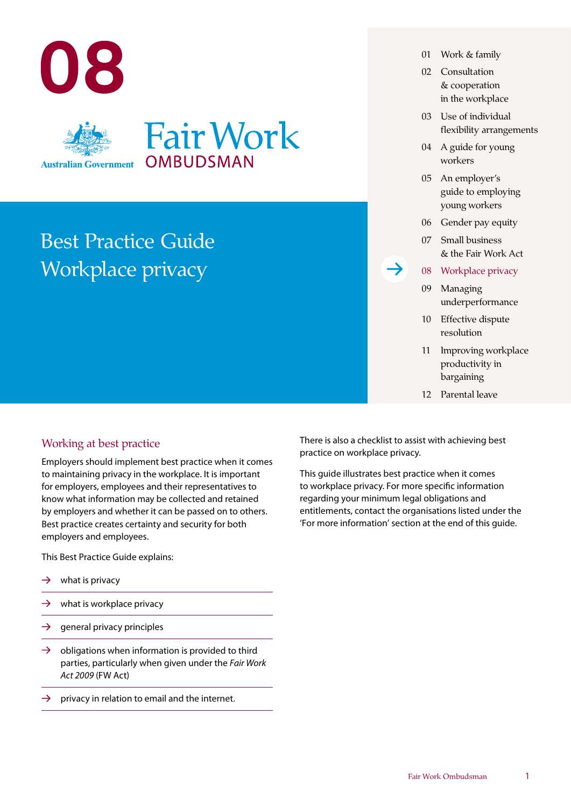

## Best Practice Guide Workplace privacy

## Working at best practice

Employers should implement best practice when it comes to maintaining privacy in the workplace. It is important for employers, employees and their representatives to know what information may be collected and retained by employers and whether it can be passed on to others. Best practice creates certainty and security for both employers and employees.

This Best Practice Guide explains:

- $\rightarrow$ what is privacy
- $\rightarrow$ what is workplace privacy
- $\rightarrow$ general privacy principles
- $\rightarrow$ obligations when information is provided to third parties, particularly when given under the *Fair Work Act 2009* (FW Act)
- $\rightarrow$ privacy in relation to email and the internet.
- 01 Work & family
- 02 Consultation & cooperation in the workplace
- 03 Use of individual flexibility arrangements
- 04 A guide for young workers
- 05 An employer's guide to employing young workers
- 06 Gender pay equity
- 07 Small business & the Fair Work Act
- 08 Workplace privacy
- 09 Managing underperformance
- 10 Effective dispute resolution
- 11 Improving workplace productivity in bargaining
- 12 Parental leave

There is also a checklist to assist with achieving best practice on workplace privacy.

This guide illustrates best practice when it comes to workplace privacy. For more specific information regarding your minimum legal obligations and entitlements, contact the organisations listed under the 'For more information' section at the end of this guide.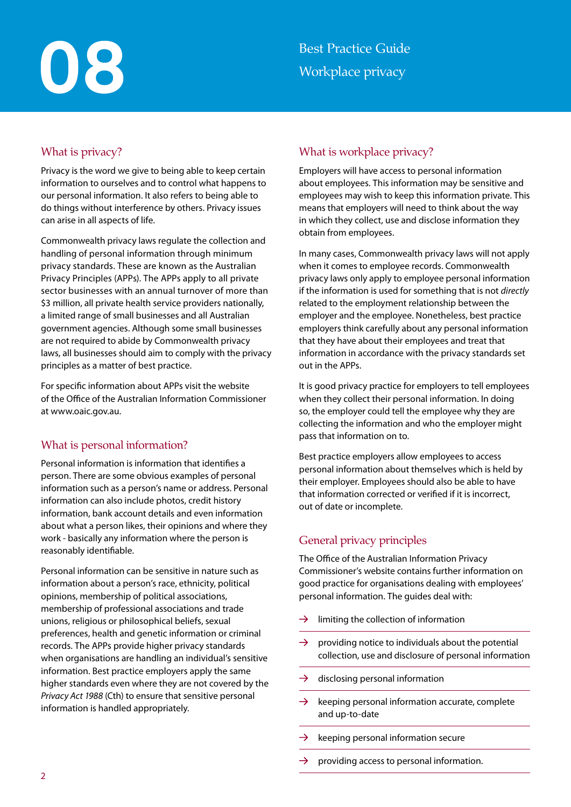# 08

## What is privacy?

Privacy is the word we give to being able to keep certain information to ourselves and to control what happens to our personal information. It also refers to being able to do things without interference by others. Privacy issues can arise in all aspects of life.

Commonwealth privacy laws regulate the collection and handling of personal information through minimum privacy standards. These are known as the Australian Privacy Principles (APPs). The APPs apply to all private sector businesses with an annual turnover of more than \$3 million, all private health service providers nationally, a limited range of small businesses and all Australian government agencies. Although some small businesses are not required to abide by Commonwealth privacy laws, all businesses should aim to comply with the privacy principles as a matter of best practice.

For specific information about APPs visit the website of the Office of the Australian Information Commissioner at [www.oaic.gov.au](http://www.oaic.gov.au).

## What is personal information?

Personal information is information that identifies a person. There are some obvious examples of personal information such as a person's name or address. Personal information can also include photos, credit history information, bank account details and even information about what a person likes, their opinions and where they work - basically any information where the person is reasonably identifiable.

Personal information can be sensitive in nature such as information about a person's race, ethnicity, political opinions, membership of political associations, membership of professional associations and trade unions, religious or philosophical beliefs, sexual preferences, health and genetic information or criminal records. The APPs provide higher privacy standards when organisations are handling an individual's sensitive information. Best practice employers apply the same higher standards even where they are not covered by the *Privacy Act 1988* (Cth) to ensure that sensitive personal information is handled appropriately.

## What is workplace privacy?

Employers will have access to personal information about employees. This information may be sensitive and employees may wish to keep this information private. This means that employers will need to think about the way in which they collect, use and disclose information they obtain from employees.

In many cases, Commonwealth privacy laws will not apply when it comes to employee records. Commonwealth privacy laws only apply to employee personal information if the information is used for something that is not *directly* related to the employment relationship between the employer and the employee. Nonetheless, best practice employers think carefully about any personal information that they have about their employees and treat that information in accordance with the privacy standards set out in the APPs.

It is good privacy practice for employers to tell employees when they collect their personal information. In doing so, the employer could tell the employee why they are collecting the information and who the employer might pass that information on to.

Best practice employers allow employees to access personal information about themselves which is held by their employer. Employees should also be able to have that information corrected or verified if it is incorrect, out of date or incomplete.

## General privacy principles

The Office of the Australian Information Privacy Commissioner's website contains further information on good practice for organisations dealing with employees' personal information. The guides deal with:

- $\rightarrow$ limiting the collection of information
- $\rightarrow$ providing notice to individuals about the potential collection, use and disclosure of personal information
- $\rightarrow$  disclosing personal information
- $\rightarrow$ keeping personal information accurate, complete and up-to-date
- keeping personal information secure
- providing access to personal information.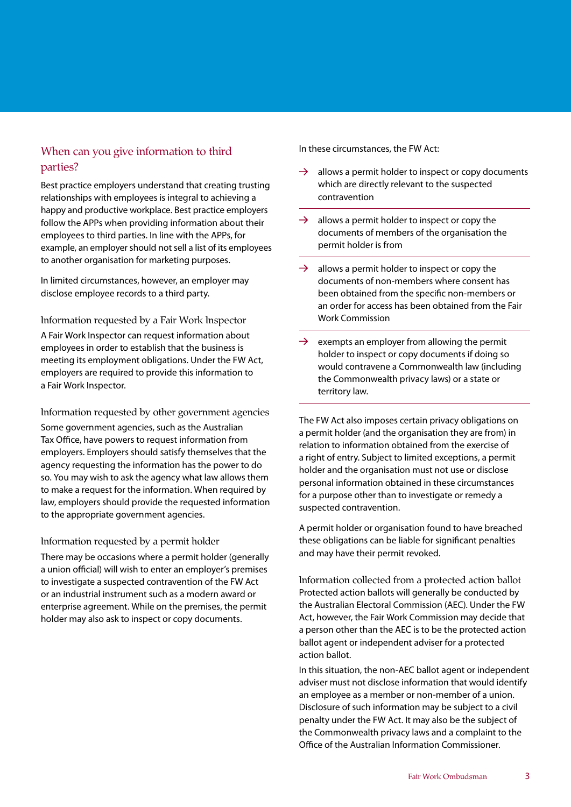## When can you give information to third parties?

Best practice employers understand that creating trusting relationships with employees is integral to achieving a happy and productive workplace. Best practice employers follow the APPs when providing information about their employees to third parties. In line with the APPs, for example, an employer should not sell a list of its employees to another organisation for marketing purposes.

In limited circumstances, however, an employer may disclose employee records to a third party.

Information requested by a Fair Work Inspector A Fair Work Inspector can request information about employees in order to establish that the business is meeting its employment obligations. Under the FW Act, employers are required to provide this information to a Fair Work Inspector.

Information requested by other government agencies

Some government agencies, such as the Australian Tax Office, have powers to request information from employers. Employers should satisfy themselves that the agency requesting the information has the power to do so. You may wish to ask the agency what law allows them to make a request for the information. When required by law, employers should provide the requested information to the appropriate government agencies.

### Information requested by a permit holder

There may be occasions where a permit holder (generally a union official) will wish to enter an employer's premises to investigate a suspected contravention of the FW Act or an industrial instrument such as a modern award or enterprise agreement. While on the premises, the permit holder may also ask to inspect or copy documents.

In these circumstances, the FW Act:

- $\rightarrow$ allows a permit holder to inspect or copy documents which are directly relevant to the suspected contravention
- $\rightarrow$ allows a permit holder to inspect or copy the documents of members of the organisation the permit holder is from
- $\rightarrow$ allows a permit holder to inspect or copy the documents of non-members where consent has been obtained from the specific non-members or an order for access has been obtained from the Fair Work Commission
- $\rightarrow$ exempts an employer from allowing the permit holder to inspect or copy documents if doing so would contravene a Commonwealth law (including the Commonwealth privacy laws) or a state or territory law.

The FW Act also imposes certain privacy obligations on a permit holder (and the organisation they are from) in relation to information obtained from the exercise of a right of entry. Subject to limited exceptions, a permit holder and the organisation must not use or disclose personal information obtained in these circumstances for a purpose other than to investigate or remedy a suspected contravention.

A permit holder or organisation found to have breached these obligations can be liable for significant penalties and may have their permit revoked.

Information collected from a protected action ballot Protected action ballots will generally be conducted by the Australian Electoral Commission (AEC). Under the FW Act, however, the Fair Work Commission may decide that a person other than the AEC is to be the protected action ballot agent or independent adviser for a protected action ballot.

In this situation, the non-AEC ballot agent or independent adviser must not disclose information that would identify an employee as a member or non-member of a union. Disclosure of such information may be subject to a civil penalty under the FW Act. It may also be the subject of the Commonwealth privacy laws and a complaint to the Office of the Australian Information Commissioner.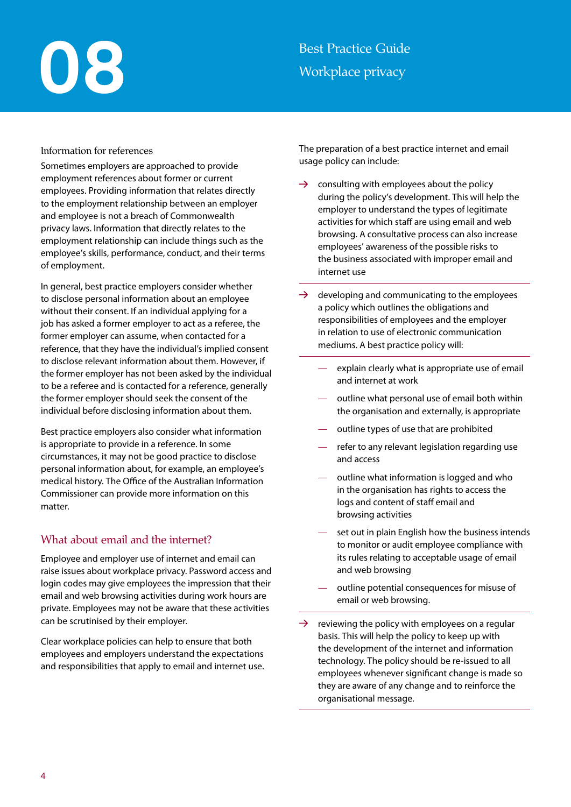# 08

## Best Practice Guide Workplace privacy

## Information for references

Sometimes employers are approached to provide employment references about former or current employees. Providing information that relates directly to the employment relationship between an employer and employee is not a breach of Commonwealth privacy laws. Information that directly relates to the employment relationship can include things such as the employee's skills, performance, conduct, and their terms of employment.

In general, best practice employers consider whether to disclose personal information about an employee without their consent. If an individual applying for a job has asked a former employer to act as a referee, the former employer can assume, when contacted for a reference, that they have the individual's implied consent to disclose relevant information about them. However, if the former employer has not been asked by the individual to be a referee and is contacted for a reference, generally the former employer should seek the consent of the individual before disclosing information about them.

Best practice employers also consider what information is appropriate to provide in a reference. In some circumstances, it may not be good practice to disclose personal information about, for example, an employee's medical history. The Office of the Australian Information Commissioner can provide more information on this matter.

## What about email and the internet?

Employee and employer use of internet and email can raise issues about workplace privacy. Password access and login codes may give employees the impression that their email and web browsing activities during work hours are private. Employees may not be aware that these activities can be scrutinised by their employer.

Clear workplace policies can help to ensure that both employees and employers understand the expectations and responsibilities that apply to email and internet use. The preparation of a best practice internet and email usage policy can include:

- $\rightarrow$ consulting with employees about the policy during the policy's development. This will help the employer to understand the types of legitimate activities for which staff are using email and web browsing. A consultative process can also increase employees' awareness of the possible risks to the business associated with improper email and internet use
- $\rightarrow$ developing and communicating to the employees a policy which outlines the obligations and responsibilities of employees and the employer in relation to use of electronic communication mediums. A best practice policy will:
	- explain clearly what is appropriate use of email and internet at work
	- outline what personal use of email both within the organisation and externally, is appropriate
	- outline types of use that are prohibited
	- refer to any relevant legislation regarding use and access
	- outline what information is logged and who in the organisation has rights to access the logs and content of staff email and browsing activities
	- set out in plain English how the business intends to monitor or audit employee compliance with its rules relating to acceptable usage of email and web browsing
	- outline potential consequences for misuse of email or web browsing.
- $\rightarrow$ reviewing the policy with employees on a regular basis. This will help the policy to keep up with the development of the internet and information technology. The policy should be re-issued to all employees whenever significant change is made so they are aware of any change and to reinforce the organisational message.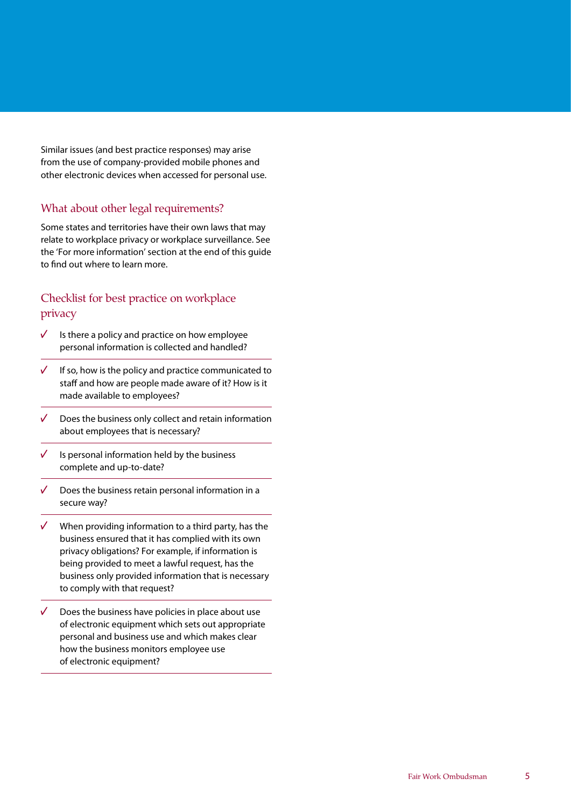Similar issues (and best practice responses) may arise from the use of company-provided mobile phones and other electronic devices when accessed for personal use.

## What about other legal requirements?

Some states and territories have their own laws that may relate to workplace privacy or workplace surveillance. See the 'For more information' section at the end of this guide to find out where to learn more.

## Checklist for best practice on workplace privacy

- $\sqrt{2}$ Is there a policy and practice on how employee personal information is collected and handled?
- $\sqrt{2}$ If so, how is the policy and practice communicated to staff and how are people made aware of it? How is it made available to employees?
- $\sqrt{2}$ Does the business only collect and retain information about employees that is necessary?
- $\sqrt{ }$ Is personal information held by the business complete and up-to-date?
- $\sqrt{ }$ Does the business retain personal information in a secure way?
- $\sqrt{2}$ When providing information to a third party, has the business ensured that it has complied with its own privacy obligations? For example, if information is being provided to meet a lawful request, has the business only provided information that is necessary to comply with that request?
- $\sqrt{2}$ Does the business have policies in place about use of electronic equipment which sets out appropriate personal and business use and which makes clear how the business monitors employee use of electronic equipment?